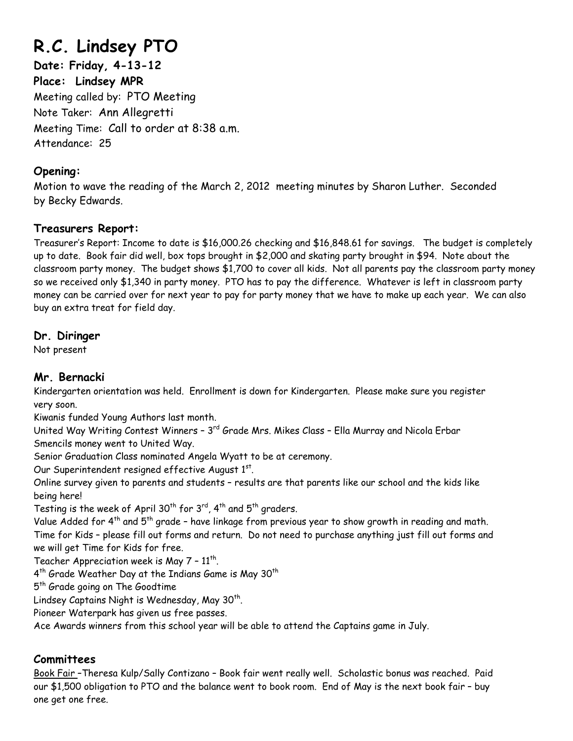# **R.C. Lindsey PTO**

**Date: Friday, 4-13-12 Place: Lindsey MPR**  Meeting called by: PTO Meeting Note Taker: Ann Allegretti Meeting Time: Call to order at 8:38 a.m. Attendance: 25

### **Opening:**

Motion to wave the reading of the March 2, 2012 meeting minutes by Sharon Luther. Seconded by Becky Edwards.

### **Treasurers Report:**

Treasurer's Report: Income to date is \$16,000.26 checking and \$16,848.61 for savings. The budget is completely up to date. Book fair did well, box tops brought in \$2,000 and skating party brought in \$94. Note about the classroom party money. The budget shows \$1,700 to cover all kids. Not all parents pay the classroom party money so we received only \$1,340 in party money. PTO has to pay the difference. Whatever is left in classroom party money can be carried over for next year to pay for party money that we have to make up each year. We can also buy an extra treat for field day.

## **Dr. Diringer**

Not present

# **Mr. Bernacki**

Kindergarten orientation was held. Enrollment is down for Kindergarten. Please make sure you register very soon.

Kiwanis funded Young Authors last month.

United Way Writing Contest Winners - 3<sup>rd</sup> Grade Mrs. Mikes Class - Ella Murray and Nicola Erbar Smencils money went to United Way.

Senior Graduation Class nominated Angela Wyatt to be at ceremony.

Our Superintendent resigned effective August 1st.

Online survey given to parents and students – results are that parents like our school and the kids like being here!

Testing is the week of April 30<sup>th</sup> for 3<sup>rd</sup>, 4<sup>th</sup> and 5<sup>th</sup> graders.

Value Added for  $4^{th}$  and  $5^{th}$  grade - have linkage from previous year to show growth in reading and math. Time for Kids – please fill out forms and return. Do not need to purchase anything just fill out forms and we will get Time for Kids for free.

Teacher Appreciation week is May  $7$  -  $11^{th}$ .

 $4^{th}$  Grade Weather Day at the Indians Game is May 30<sup>th</sup>

5<sup>th</sup> Grade going on The Goodtime

Lindsey Captains Night is Wednesday, May  $30<sup>th</sup>$ .

Pioneer Waterpark has given us free passes.

Ace Awards winners from this school year will be able to attend the Captains game in July.

# **Committees**

Book Fair –Theresa Kulp/Sally Contizano – Book fair went really well. Scholastic bonus was reached. Paid our \$1,500 obligation to PTO and the balance went to book room. End of May is the next book fair – buy one get one free.